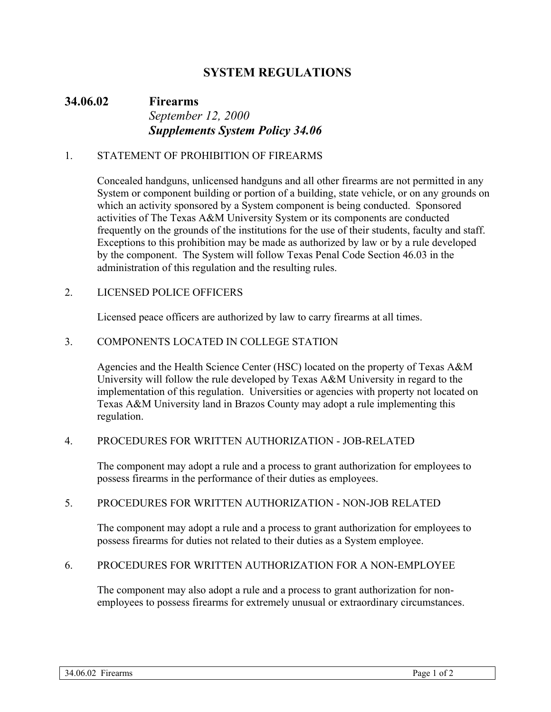# **SYSTEM REGULATIONS**

# **34.06.02 Firearms**  *September 12, 2000 Supplements System Policy 34.06*

#### 1. STATEMENT OF PROHIBITION OF FIREARMS

Concealed handguns, unlicensed handguns and all other firearms are not permitted in any System or component building or portion of a building, state vehicle, or on any grounds on which an activity sponsored by a System component is being conducted. Sponsored activities of The Texas A&M University System or its components are conducted frequently on the grounds of the institutions for the use of their students, faculty and staff. Exceptions to this prohibition may be made as authorized by law or by a rule developed by the component. The System will follow Texas Penal Code Section 46.03 in the administration of this regulation and the resulting rules.

### 2. LICENSED POLICE OFFICERS

Licensed peace officers are authorized by law to carry firearms at all times.

### 3. COMPONENTS LOCATED IN COLLEGE STATION

Agencies and the Health Science Center (HSC) located on the property of Texas A&M University will follow the rule developed by Texas A&M University in regard to the implementation of this regulation. Universities or agencies with property not located on Texas A&M University land in Brazos County may adopt a rule implementing this regulation.

#### 4. PROCEDURES FOR WRITTEN AUTHORIZATION - JOB-RELATED

The component may adopt a rule and a process to grant authorization for employees to possess firearms in the performance of their duties as employees.

#### 5. PROCEDURES FOR WRITTEN AUTHORIZATION - NON-JOB RELATED

The component may adopt a rule and a process to grant authorization for employees to possess firearms for duties not related to their duties as a System employee.

#### 6. PROCEDURES FOR WRITTEN AUTHORIZATION FOR A NON-EMPLOYEE

The component may also adopt a rule and a process to grant authorization for nonemployees to possess firearms for extremely unusual or extraordinary circumstances.